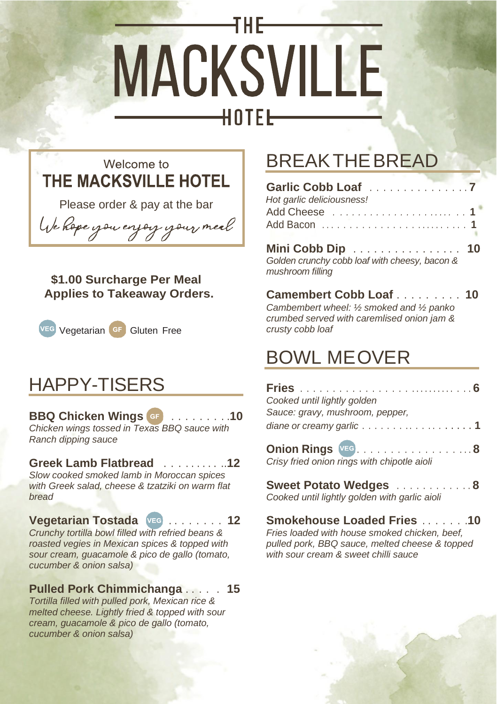



Please order & pay at the bar

We hope you enjoy your meal

 **\$1.00 Surcharge Per Meal Applies to Takeaway Orders.**



### HAPPY-TISERS

### **BBQ Chicken Wings GF** . . . . . . . . .**10**

*Chicken wings tossed in Texas BBQ sauce with Ranch dipping sauce*

#### **Greek Lamb Flatbread** . . . . . . . . . ..**12**

*Slow cooked smoked lamb in Moroccan spices with Greek salad, cheese & tzatziki on warm flat bread*

#### **Vegetarian Tostada VEG** . . . . . . . . **12**

*Crunchy tortilla bowl filled with refried beans & roasted vegies in Mexican spices & topped with sour cream, guacamole & pico de gallo (tomato, cucumber & onion salsa)*

#### **Pulled Pork Chimmichanga** . . . . . **15**

*Tortilla filled with pulled pork, Mexican rice & melted cheese. Lightly fried & topped with sour cream, guacamole & pico de gallo (tomato, cucumber & onion salsa)*

# BREAKTHEBREAD

| Hot garlic deliciousness!<br>Add Bacon          1                                     |  |
|---------------------------------------------------------------------------------------|--|
| Mini Cobb Dip 10<br>Golden crunchy cobb loaf with cheesy, bacon &<br>mushroom filling |  |
| Comombow Cabblack                                                                     |  |

**Camembert Cobb Loaf** . . . . . . . . . **10** *Cambembert wheel: ½ smoked and ½ panko crumbed served with caremlised onion jam & crusty cobb loaf*

## BOWL MEOVER

| Cooked until lightly golden                                              |  |
|--------------------------------------------------------------------------|--|
| Sauce: gravy, mushroom, pepper,                                          |  |
| diane or creamy garlic 1                                                 |  |
| <b>Onion Rings</b> VEG. 8<br>Crisy fried onion rings with chipotle aioli |  |
| Sweet Potato Wedges 8<br>Cooked until lightly golden with garlic aioli   |  |

### **Smokehouse Loaded Fries** . . . . . . .**10**

*Fries loaded with house smoked chicken, beef, pulled pork, BBQ sauce, melted cheese & topped with sour cream & sweet chilli sauce*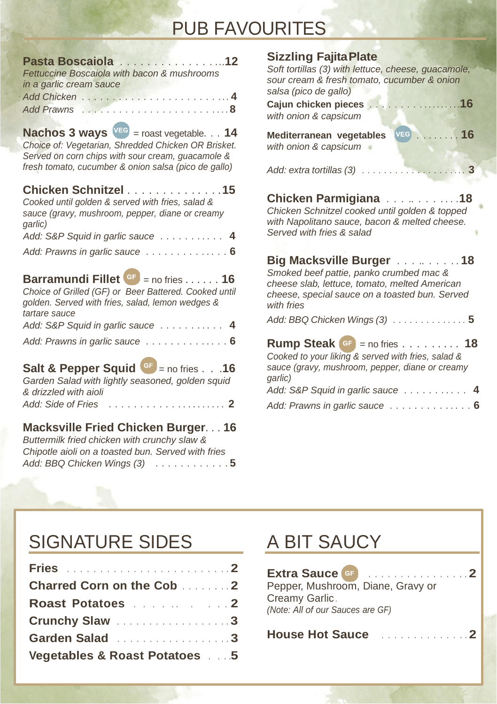# PUB FAVOURITES

| Pasta Boscaiola 12<br>Fettuccine Boscaiola with bacon & mushrooms<br>in a garlic cream sauce                                                                                                                         |
|----------------------------------------------------------------------------------------------------------------------------------------------------------------------------------------------------------------------|
|                                                                                                                                                                                                                      |
| <b>Nachos 3 ways</b> $VEG$ = roast vegetable. 14<br>Choice of: Vegetarian, Shredded Chicken OR Brisket.<br>Served on corn chips with sour cream, quacamole &<br>fresh tomato, cucumber & onion salsa (pico de gallo) |
| Chicken Schnitzel 15<br>Cooked until golden & served with fries, salad &<br>sauce (gravy, mushroom, pepper, diane or creamy<br>qarlic)                                                                               |
| Add: S&P Squid in garlic sauce 4                                                                                                                                                                                     |
| Add: Prawns in garlic sauce 6                                                                                                                                                                                        |
| <b>Barramundi Fillet</b> $\begin{bmatrix} 6F \\ 2F \end{bmatrix}$ = no fries 16<br>Choice of Grilled (GF) or Beer Battered. Cooked until<br>golden. Served with fries, salad, lemon wedges &<br>tartare sauce        |
| Add: S&P Squid in garlic sauce 4                                                                                                                                                                                     |
| Add: Prawns in garlic sauce 6                                                                                                                                                                                        |
| <b>Salt &amp; Pepper Squid <math>G = \text{no fires} \dots 16</math></b><br>Garden Salad with lightly seasoned, golden squid<br>& drizzled with aioli<br>Add: Side of Fries<br>. 2                                   |
| Macksville Fried Chicken Burger 16<br>Buttermilk fried chicken with crunchy slaw &<br>Chipotle aioli on a toasted bun. Served with fries<br>Add: BBQ Chicken Wings (3) 5                                             |

| Sizzling Fajita Plate                                                                                                                                                                                                  |   |
|------------------------------------------------------------------------------------------------------------------------------------------------------------------------------------------------------------------------|---|
| Soft tortillas (3) with lettuce, cheese, guacamole,<br>sour cream & fresh tomato, cucumber & onion<br>salsa (pico de gallo)                                                                                            |   |
| . 16<br>Cajun chicken pieces<br>with onion & capsicum                                                                                                                                                                  |   |
| Mediterranean vegetables VEG 16<br>with onion & capsicum                                                                                                                                                               |   |
|                                                                                                                                                                                                                        |   |
| Chicken Parmigiana 18<br>Chicken Schnitzel cooked until golden & topped<br>with Napolitano sauce, bacon & melted cheese.<br>Served with fries & salad                                                                  |   |
| Big Macksville Burger 18<br>Smoked beef pattie, panko crumbed mac &<br>cheese slab, lettuce, tomato, melted American<br>cheese, special sauce on a toasted bun. Served<br>with fries<br>Add: BBQ Chicken Wings $(3)$ 5 |   |
| <b>Rump Steak <math>\bullet</math> = no fries 18</b><br>Cooked to your liking & served with fries, salad &<br>sauce (gravy, mushroom, pepper, diane or creamy<br>qarlic)<br>Add: S&P Squid in garlic sauce             |   |
| Add: Prawns in garlic sauce                                                                                                                                                                                            | 6 |
|                                                                                                                                                                                                                        |   |

# SIGNATURE SIDES

| <b>Fries 2</b>                   |  |
|----------------------------------|--|
| <b>Charred Corn on the Cob 2</b> |  |
| Roast Potatoes 2                 |  |
| Crunchy Slaw 3                   |  |
| Garden Salad 3                   |  |
| Vegetables & Roast Potatoes  5   |  |

# A BIT SAUCY

| Extra Sauce GF <b>Extra Sauce Communication</b>                                         |
|-----------------------------------------------------------------------------------------|
| Pepper, Mushroom, Diane, Gravy or<br>Creamy Garlic.<br>(Note: All of our Sauces are GF) |
| House Hot Sauce <b>Manual Library 2</b>                                                 |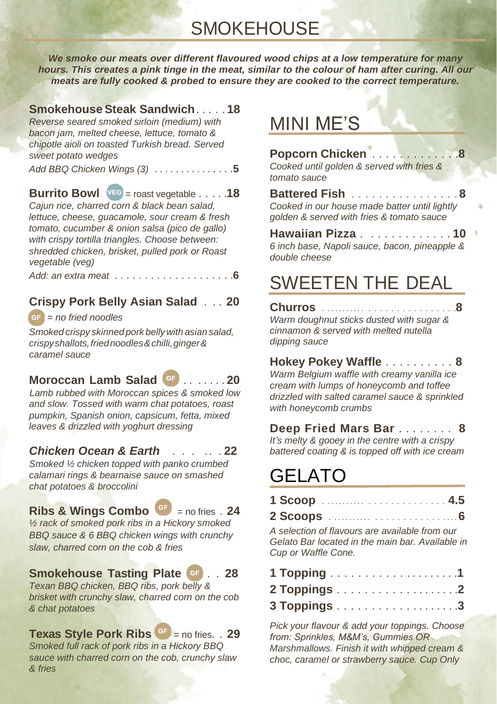**SMOKEHOUSE** 

*We smoke our meats over different flavoured wood chips at a low temperature for many hours. This creates a pink tinge in the meat, similar to the colour of ham after curing. All our meats are fully cooked & probed to ensure they are cooked to the correct temperature.*

### **Smokehouse Steak Sandwich**. . . . . **18**

*Reverse seared smoked sirloin (medium) with bacon jam, melted cheese, lettuce, tomato & chipotle aioli on toasted Turkish bread. Served sweet potato wedges*

*Add BBQ Chicken Wings (3)* . . . . . . . . . . . . . . .**5**

**Burrito Bowl**  $VEG$  = roast vegetable  $\ldots$  . 18 *Cajun rice, charred corn & black bean salad, lettuce, cheese, guacamole, sour cream & fresh tomato, cucumber & onion salsa (pico de gallo) with crispy tortilla triangles. Choose between: shredded chicken, brisket, pulled pork or Roast vegetable (veg)*

*Add: an extra meat* . . . . . . . . . . . . . . . . . . . .**6**

#### **Crispy Pork Belly Asian Salad** . . . **20**

**GF** *= no fried noodles*

*Smoked crispy skinned pork bellywith asian salad, crispyshallots,friednoodles&chilli,ginger& caramel sauce*

#### **Moroccan Lamb Salad GF** . . . . . . . **20**

*Lamb rubbed with Moroccan spices & smoked low and slow. Tossed with warm chat potatoes, roast pumpkin, Spanish onion, capsicum, fetta, mixed leaves & drizzled with yoghurt dressing*

#### *Chicken Ocean & Earth . . . . . .* **22**

*Smoked ½ chicken topped with panko crumbed calamari rings & bearnaise sauce on smashed chat potatoes & broccolini*

#### **Ribs & Wings Combo**  $\frac{GF}{F}$  = no fries . 24

*½ rack of smoked pork ribs in a Hickory smoked BBQ sauce & 6 BBQ chicken wings with crunchy slaw, charred corn on the cob & fries*

#### **Smokehouse Tasting Plate** ..**28**

*Texan BBQ chicken, BBQ ribs, pork belly & brisket with crunchy slaw, charred corn on the cob & chat potatoes*

**Texas Style Pork Ribs** = no fries. . **29** *Smoked full rack of pork ribs in a Hickory BBQ sauce with charred corn on the cob, crunchy slaw & fries*

### MINI ME'S

**Popcorn Chicken** . . . . . . . . . . . . .**8** *Cooked until golden & served with fries & tomato sauce*

**Battered Fish** . . . . . . . . . . . . . . . . **8** *Cooked in our house made batter until lightly golden & served with fries & tomato sauce*

**Hawaiian Pizza** . . . . . . . . . . . . . **10** *6 inch base, Napoli sauce, bacon, pineapple & double cheese*

## SWEETEN THE DEAL

**Churros** . . . . . . . . . . . . . . . . . . . . . . . . . . .**8** *Warm doughnut sticks dusted with sugar & cinnamon & served with melted nutella dipping sauce*

**Hokey Pokey Waffle** . . . . . . . . . . **8** *Warm Belgium waffle with creamy vanilla ice cream with lumps of honeycomb and toffee drizzled with salted caramel sauce & sprinkled with honeycomb crumbs*

**Deep Fried Mars Bar** . . . . . . . . **8** *It's melty & gooey in the centre with a crispy battered coating & is topped off with ice cream*

# GELATO

*Cup or Waffle Cone.*

| $\sim$ $\sim$ $\sim$ |  |  |  |  |  |  |  |  |  |  |  |  |  |
|----------------------|--|--|--|--|--|--|--|--|--|--|--|--|--|

**2 Scoops** . . . . . . . . . . . . . . . . . . . . . . . . . . . **6** *A selection of flavours are available from our Gelato Bar located in the main bar. Available in* 

*Pick your flavour & add your toppings. Choose from: Sprinkles, M&M's, Gummies OR Marshmallows. Finish it with whipped cream & choc, caramel or strawberry sauce. Cup Only*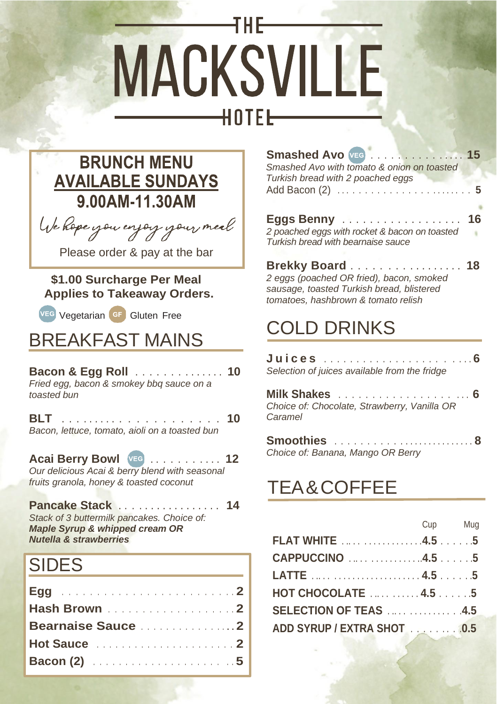

### **BRUNCH MENU AVAILABLE SUNDAYS** 9.00AM-11.30AM

We hope you enjoy your meal

Please order & pay at the bar

#### **\$1.00 Surcharge Per Meal Applies to Takeaway Orders.**

Vegetarian **GF** Gluten Free

## BREAKFAST MAINS

| Bacon & Egg Roll 10<br>Fried egg, bacon & smokey bbg sauce on a<br>toasted bun |  |  |  |  |  |  |  |  |  |  |  |  |  |  |  |  |  |  |
|--------------------------------------------------------------------------------|--|--|--|--|--|--|--|--|--|--|--|--|--|--|--|--|--|--|
|                                                                                |  |  |  |  |  |  |  |  |  |  |  |  |  |  |  |  |  |  |

*Bacon, lettuce, tomato, aioli on a toasted bun*

#### **Acai Berry Bowl VEG** . . . . . . . . . . . **12** *Our delicious Acai & berry blend with seasonal fruits granola, honey & toasted coconut*

**Pancake Stack** . . . . . . . . . . . . . . . . . **14** *Stack of 3 buttermilk pancakes. Choice of: Maple Syrup & whipped cream OR Nutella & strawberries*

# SIDES

| Hash Brown 2 |  |
|--------------|--|
|              |  |
|              |  |
|              |  |

| Smashed Avo VEG 15                            |  |
|-----------------------------------------------|--|
| Smashed Avo with tomato & onion on toasted    |  |
| Turkish bread with 2 poached eggs             |  |
|                                               |  |
|                                               |  |
| Eggs Benny  16                                |  |
| 2 poached eggs with rocket & bacon on toasted |  |

**Brekky Board** . . . . . . . . . . . . . . . . . **18** *2 eggs (poached OR fried), bacon, smoked sausage, toasted Turkish bread, blistered tomatoes, hashbrown & tomato relish*

# COLD DRINKS

*Turkish bread with bearnaise sauce*

**J u i c e s** . . . . . . . . . . . . . . . . . . . . . . . **6** *Selection of juices available from the fridge*

**Milk Shakes** . . . . . . . . . . . . . . . . . . . . **6** *Choice of: Chocolate, Strawberry, Vanilla OR Caramel*

| Choice of: Banana, Mango OR Berry |  |  |  |  |  |  |  |  |  |  |  |  |
|-----------------------------------|--|--|--|--|--|--|--|--|--|--|--|--|

# TEA&COFFEE

| <b>Cup</b> Mug                     |  |
|------------------------------------|--|
| <b>FLAT WHITE</b> 4.5 5            |  |
| CAPPUCCINO 4.55                    |  |
|                                    |  |
| <b>HOT CHOCOLATE</b> 4.5 5         |  |
| <b>SELECTION OF TEAS</b> 4.5       |  |
| ADD SYRUP / EXTRA SHOT ALL AND 0.5 |  |